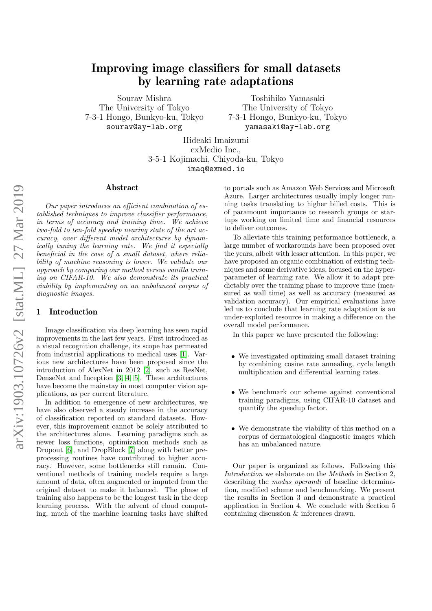# Improving image classifiers for small datasets by learning rate adaptations

Sourav Mishra The University of Tokyo 7-3-1 Hongo, Bunkyo-ku, Tokyo sourav@ay-lab.org

Toshihiko Yamasaki The University of Tokyo 7-3-1 Hongo, Bunkyo-ku, Tokyo yamasaki@ay-lab.org

Hideaki Imaizumi exMedio Inc., 3-5-1 Kojimachi, Chiyoda-ku, Tokyo imaq@exmed.io

#### Abstract

Our paper introduces an efficient combination of established techniques to improve classifier performance, in terms of accuracy and training time. We achieve two-fold to ten-fold speedup nearing state of the art accuracy, over different model architectures by dynamically tuning the learning rate. We find it especially beneficial in the case of a small dataset, where reliability of machine reasoning is lower. We validate our approach by comparing our method versus vanilla training on CIFAR-10. We also demonstrate its practical viability by implementing on an unbalanced corpus of diagnostic images.

#### 1 Introduction

Image classification via deep learning has seen rapid improvements in the last few years. First introduced as a visual recognition challenge, its scope has permeated from industrial applications to medical uses [\[1\]](#page-4-0). Various new architectures have been proposed since the introduction of AlexNet in 2012 [\[2\]](#page-4-1), such as ResNet, DenseNet and Inception [\[3,](#page-4-2) [4,](#page-4-3) [5\]](#page-4-4). These architectures have become the mainstay in most computer vision applications, as per current literature.

In addition to emergence of new architectures, we have also observed a steady increase in the accuracy of classification reported on standard datasets. However, this improvement cannot be solely attributed to the architectures alone. Learning paradigms such as newer loss functions, optimization methods such as Dropout [\[6\]](#page-4-5), and DropBlock [\[7\]](#page-4-6) along with better preprocessing routines have contributed to higher accuracy. However, some bottlenecks still remain. Conventional methods of training models require a large amount of data, often augmented or imputed from the original dataset to make it balanced. The phase of training also happens to be the longest task in the deep learning process. With the advent of cloud computing, much of the machine learning tasks have shifted

to portals such as Amazon Web Services and Microsoft Azure. Larger architectures usually imply longer running tasks translating to higher billed costs. This is of paramount importance to research groups or startups working on limited time and financial resources to deliver outcomes.

To alleviate this training performance bottleneck, a large number of workarounds have been proposed over the years, albeit with lesser attention. In this paper, we have proposed an organic combination of existing techniques and some derivative ideas, focused on the hyperparameter of learning rate. We allow it to adapt predictably over the training phase to improve time (measured as wall time) as well as accuracy (measured as validation accuracy). Our empirical evaluations have led us to conclude that learning rate adaptation is an under-exploited resource in making a difference on the overall model performance.

In this paper we have presented the following:

- We investigated optimizing small dataset training by combining cosine rate annealing, cycle length multiplication and differential learning rates.
- We benchmark our scheme against conventional training paradigms, using CIFAR-10 dataset and quantify the speedup factor.
- We demonstrate the viability of this method on a corpus of dermatological diagnostic images which has an unbalanced nature.

Our paper is organized as follows. Following this Introduction we elaborate on the Methods in Section 2, describing the *modus operandi* of baseline determination, modified scheme and benchmarking. We present the results in Section 3 and demonstrate a practical application in Section 4. We conclude with Section 5 containing discussion & inferences drawn.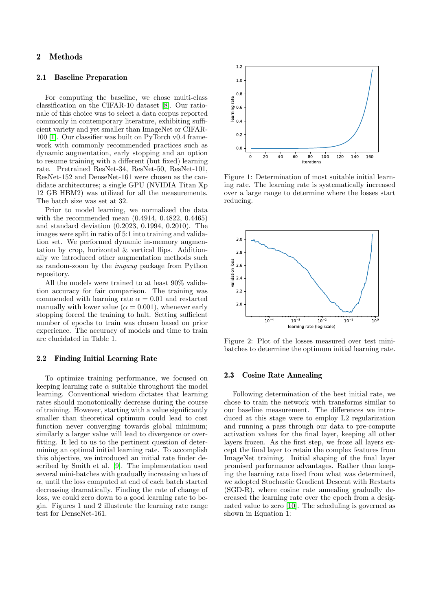### 2 Methods

#### 2.1 Baseline Preparation

For computing the baseline, we chose multi-class classification on the CIFAR-10 dataset [\[8\]](#page-4-7). Our rationale of this choice was to select a data corpus reported commonly in contemporary literature, exhibiting sufficient variety and yet smaller than ImageNet or CIFAR-100 [\[1\]](#page-4-0). Our classifier was built on PyTorch v0.4 framework with commonly recommended practices such as dynamic augmentation, early stopping and an option to resume training with a different (but fixed) learning rate. Pretrained ResNet-34, ResNet-50, ResNet-101, ResNet-152 and DenseNet-161 were chosen as the candidate architectures; a single GPU (NVIDIA Titan Xp 12 GB HBM2) was utilized for all the measurements. The batch size was set at 32.

Prior to model learning, we normalized the data with the recommended mean (0.4914, 0.4822, 0.4465) and standard deviation (0.2023, 0.1994, 0.2010). The images were split in ratio of 5:1 into training and validation set. We performed dynamic in-memory augmentation by crop, horizontal & vertical flips. Additionally we introduced other augmentation methods such as random-zoom by the imgaug package from Python repository.

All the models were trained to at least 90% validation accuracy for fair comparison. The training was commended with learning rate  $\alpha = 0.01$  and restarted manually with lower value ( $\alpha = 0.001$ ), whenever early stopping forced the training to halt. Setting sufficient number of epochs to train was chosen based on prior experience. The accuracy of models and time to train are elucidated in Table 1.

#### 2.2 Finding Initial Learning Rate

To optimize training performance, we focused on keeping learning rate  $\alpha$  suitable throughout the model learning. Conventional wisdom dictates that learning rates should monotonically decrease during the course of training. However, starting with a value significantly smaller than theoretical optimum could lead to cost function never converging towards global minimum; similarly a larger value will lead to divergence or overfitting. It led to us to the pertinent question of determining an optimal initial learning rate. To accomplish this objective, we introduced an initial rate finder described by Smith et al. [\[9\]](#page-4-8). The implementation used several mini-batches with gradually increasing values of  $\alpha$ , until the loss computed at end of each batch started decreasing dramatically. Finding the rate of change of loss, we could zero down to a good learning rate to begin. Figures 1 and 2 illustrate the learning rate range test for DenseNet-161.



Figure 1: Determination of most suitable initial learning rate. The learning rate is systematically increased over a large range to determine where the losses start reducing.



Figure 2: Plot of the losses measured over test minibatches to determine the optimum initial learning rate.

#### 2.3 Cosine Rate Annealing

Following determination of the best initial rate, we chose to train the network with transforms similar to our baseline measurement. The differences we introduced at this stage were to employ L2 regularization and running a pass through our data to pre-compute activation values for the final layer, keeping all other layers frozen. As the first step, we froze all layers except the final layer to retain the complex features from ImageNet training. Initial shaping of the final layer promised performance advantages. Rather than keeping the learning rate fixed from what was determined, we adopted Stochastic Gradient Descent with Restarts (SGD-R), where cosine rate annealing gradually decreased the learning rate over the epoch from a designated value to zero [\[10\]](#page-4-9). The scheduling is governed as shown in Equation 1: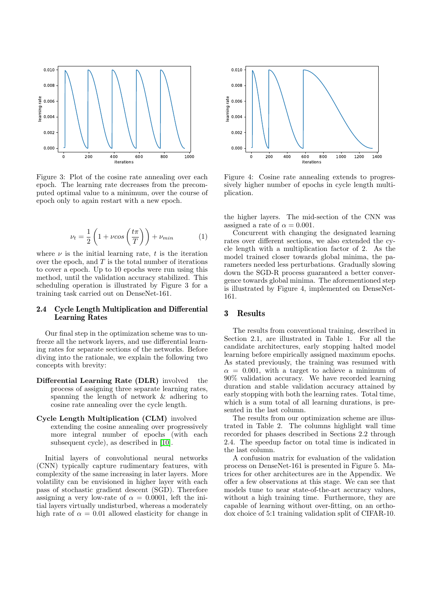

Figure 3: Plot of the cosine rate annealing over each epoch. The learning rate decreases from the precomputed optimal value to a minimum, over the course of epoch only to again restart with a new epoch.

$$
\nu_t = \frac{1}{2} \left( 1 + \nu \cos\left(\frac{t\pi}{T}\right) \right) + \nu_{min} \tag{1}
$$

where  $\nu$  is the initial learning rate, t is the iteration over the epoch, and  $T$  is the total number of iterations to cover a epoch. Up to 10 epochs were run using this method, until the validation accuracy stabilized. This scheduling operation is illustrated by Figure 3 for a training task carried out on DenseNet-161.

#### 2.4 Cycle Length Multiplication and Differential Learning Rates

Our final step in the optimization scheme was to unfreeze all the network layers, and use differential learning rates for separate sections of the networks. Before diving into the rationale, we explain the following two concepts with brevity:

Differential Learning Rate (DLR) involved the process of assigning three separate learning rates, spanning the length of network & adhering to cosine rate annealing over the cycle length.

### Cycle Length Multiplication (CLM) involved extending the cosine annealing over progressively

more integral number of epochs (with each subsequent cycle), as described in [\[10\]](#page-4-9).

Initial layers of convolutional neural networks (CNN) typically capture rudimentary features, with complexity of the same increasing in later layers. More volatility can be envisioned in higher layer with each pass of stochastic gradient descent (SGD). Therefore assigning a very low-rate of  $\alpha = 0.0001$ , left the initial layers virtually undisturbed, whereas a moderately high rate of  $\alpha = 0.01$  allowed elasticity for change in



Figure 4: Cosine rate annealing extends to progressively higher number of epochs in cycle length multiplication.

the higher layers. The mid-section of the CNN was assigned a rate of  $\alpha = 0.001$ .

Concurrent with changing the designated learning rates over different sections, we also extended the cycle length with a multiplication factor of 2. As the model trained closer towards global minima, the parameters needed less perturbations. Gradually slowing down the SGD-R process guaranteed a better convergence towards global minima. The aforementioned step is illustrated by Figure 4, implemented on DenseNet-161.

#### 3 Results

The results from conventional training, described in Section 2.1, are illustrated in Table 1. For all the candidate architectures, early stopping halted model learning before empirically assigned maximum epochs. As stated previously, the training was resumed with  $\alpha = 0.001$ , with a target to achieve a minimum of 90% validation accuracy. We have recorded learning duration and stable validation accuracy attained by early stopping with both the learning rates. Total time, which is a sum total of all learning durations, is presented in the last column.

The results from our optimization scheme are illustrated in Table 2. The columns highlight wall time recorded for phases described in Sections 2.2 through 2.4. The speedup factor on total time is indicated in the last column.

A confusion matrix for evaluation of the validation process on DenseNet-161 is presented in Figure 5. Matrices for other architectures are in the Appendix. We offer a few observations at this stage. We can see that models tune to near state-of-the-art accuracy values, without a high training time. Furthermore, they are capable of learning without over-fitting, on an orthodox choice of 5:1 training validation split of CIFAR-10.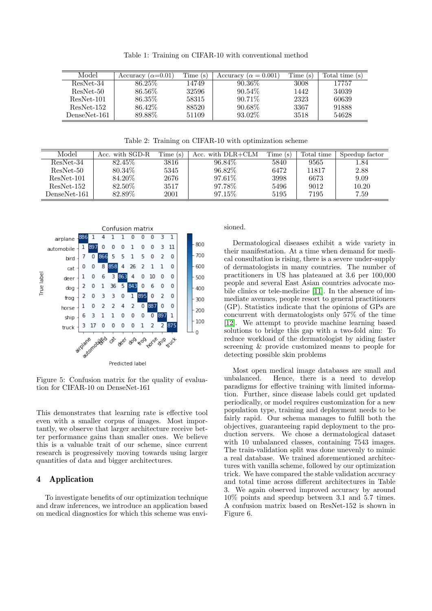Table 1: Training on CIFAR-10 with conventional method

| Model        | Accuracy ( $\alpha$ =0.01) | Time (s) | Accuracy ( $\alpha = 0.001$ ) | Time(s) | Total time (s) |
|--------------|----------------------------|----------|-------------------------------|---------|----------------|
| ResNet-34    | 86.25\%                    | 14749    | $90.36\%$                     | 3008    | 17757          |
| ResNet-50    | 86.56\%                    | 32596    | $90.54\%$                     | 1442    | 34039          |
| $ResNet-101$ | 86.35\%                    | 58315    | $90.71\%$                     | 2323    | 60639          |
| ResNet-152   | 86.42\%                    | 88520    | $90.68\%$                     | 3367    | 91888          |
| DenseNet-161 | 89.88\%                    | 51109    | 93.02\%                       | 3518    | 54628          |

Table 2: Training on CIFAR-10 with optimization scheme

| Model        | Acc. with SGD-R | Time (s) | Acc. with DLR+CLM | Time (s) | Total time | Speedup factor |
|--------------|-----------------|----------|-------------------|----------|------------|----------------|
| ResNet-34    | 82.45\%         | 3816     | 96.84\%           | 5840     | 9565       | 1.84           |
| ResNet-50    | 80.34\%         | 5345     | 96.82\%           | 6472     | 11817      | 2.88           |
| ResNet-101   | 84.20\%         | 2676     | 97.61\%           | 3998     | 6673       | 9.09           |
| ResNet-152   | 82.50%          | 3517     | 97.78\%           | 5496     | 9012       | 10.20          |
| DenseNet-161 | 82.89%          | $2001\,$ | 97.15\%           | 5195     | 7195       | 7.59           |



Figure 5: Confusion matrix for the quality of evaluation for CIFAR-10 on DenseNet-161

This demonstrates that learning rate is effective tool even with a smaller corpus of images. Most importantly, we observe that larger architecture receive better performance gains than smaller ones. We believe this is a valuable trait of our scheme, since current research is progressively moving towards using larger quantities of data and bigger architectures.

### 4 Application

To investigate benefits of our optimization technique and draw inferences, we introduce an application based on medical diagnostics for which this scheme was envisioned.

Dermatological diseases exhibit a wide variety in their manifestation. At a time when demand for medical consultation is rising, there is a severe under-supply of dermatologists in many countries. The number of practitioners in US has plateaued at 3.6 per 100,000 people and several East Asian countries advocate mobile clinics or tele-medicine [\[11\]](#page-4-10). In the absence of immediate avenues, people resort to general practitioners (GP). Statistics indicate that the opinions of GPs are concurrent with dermatologists only 57% of the time [\[12\]](#page-4-11). We attempt to provide machine learning based solutions to bridge this gap with a two-fold aim: To reduce workload of the dermatologist by aiding faster screening & provide customized means to people for detecting possible skin problems

Most open medical image databases are small and unbalanced. Hence, there is a need to develop paradigms for effective training with limited information. Further, since disease labels could get updated periodically, or model requires customization for a new population type, training and deployment needs to be fairly rapid. Our schema manages to fulfill both the objectives, guaranteeing rapid deployment to the production servers. We chose a dermatological dataset with 10 unbalanced classes, containing 7543 images. The train-validation split was done unevenly to mimic a real database. We trained aforementioned architectures with vanilla scheme, followed by our optimization trick. We have compared the stable validation accuracy and total time across different architectures in Table 3. We again observed improved accuracy by around 10% points and speedup between 3.1 and 5.7 times. A confusion matrix based on ResNet-152 is shown in Figure 6.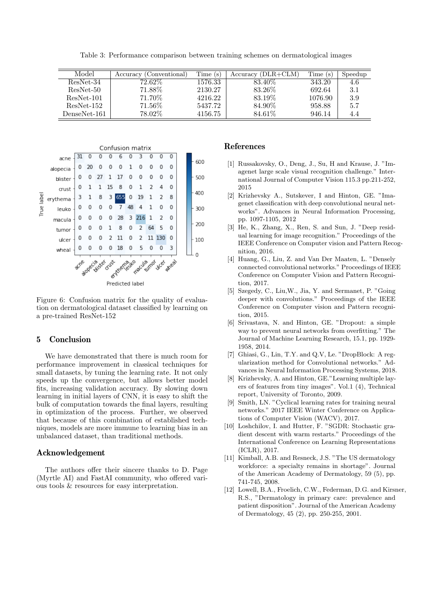Table 3: Performance comparison between training schemes on dermatological images

| Model        | Accuracy (Conventional) | Time(s) | $Accuracy (DLR + CLM)$ | Time(s) | Speedup |
|--------------|-------------------------|---------|------------------------|---------|---------|
| ResNet-34    | $72.62\%$               | 1576.33 | 83.40\%                | 343.20  | 4.6     |
| ResNet-50    | $71.88\%$               | 2130.27 | 83.26\%                | 692.64  | 3.1     |
| ResNet-101   | 71.70%                  | 4216.22 | 83.19%                 | 1076.90 | 3.9     |
| ResNet-152   | $71.56\%$               | 5437.72 | 84.90%                 | 958.88  | 5.7     |
| DenseNet-161 | 78.02%                  | 4156.75 | 84.61\%                | 946.14  | 4.4     |



Figure 6: Confusion matrix for the quality of evaluation on dermatological dataset classified by learning on a pre-trained ResNet-152

### 5 Conclusion

We have demonstrated that there is much room for performance improvement in classical techniques for small datasets, by tuning the learning rate. It not only speeds up the convergence, but allows better model fits, increasing validation accuracy. By slowing down learning in initial layers of CNN, it is easy to shift the bulk of computation towards the final layers, resulting in optimization of the process. Further, we observed that because of this combination of established techniques, models are more immune to learning bias in an unbalanced dataset, than traditional methods.

### Acknowledgement

The authors offer their sincere thanks to D. Page (Myrtle AI) and FastAI community, who offered various tools & resources for easy interpretation.

### References

- <span id="page-4-0"></span>[1] Russakovsky, O., Deng, J., Su, H and Krause, J. "Imagenet large scale visual recognition challenge." International Journal of Computer Vision 115.3 pp.211-252, 2015
- <span id="page-4-1"></span>[2] Krizhevsky A., Sutskever, I and Hinton, GE. "Imagenet classification with deep convolutional neural networks". Advances in Neural Information Processing, pp. 1097-1105, 2012
- <span id="page-4-2"></span>[3] He, K., Zhang, X., Ren, S. and Sun, J. "Deep residual learning for image recognition." Proceedings of the IEEE Conference on Computer vision and Pattern Recognition, 2016.
- <span id="page-4-3"></span>[4] Huang, G., Liu, Z. and Van Der Maaten, L. "Densely connected convolutional networks." Proceedings of IEEE Conference on Computer Vision and Pattern Recognition, 2017.
- <span id="page-4-4"></span>[5] Szegedy, C., Liu,W., Jia, Y. and Sermanet, P. "Going deeper with convolutions." Proceedings of the IEEE Conference on Computer vision and Pattern recognition, 2015.
- <span id="page-4-5"></span>[6] Srivastava, N. and Hinton, GE. "Dropout: a simple way to prevent neural networks from overfitting." The Journal of Machine Learning Research, 15.1, pp. 1929- 1958, 2014.
- <span id="page-4-6"></span>[7] Ghiasi, G., Lin, T.Y. and Q.V, Le. "DropBlock: A regularization method for Convolutional networks." Advances in Neural Information Processing Systems, 2018.
- <span id="page-4-7"></span>[8] Krizhevsky, A. and Hinton, GE."Learning multiple layers of features from tiny images". Vol.1 (4), Technical report, University of Toronto, 2009.
- <span id="page-4-8"></span>[9] Smith, LN. "Cyclical learning rates for training neural networks." 2017 IEEE Winter Conference on Applications of Computer Vision (WACV), 2017.
- <span id="page-4-9"></span>[10] Loshchilov, I. and Hutter, F. "SGDR: Stochastic gradient descent with warm restarts." Proceedings of the International Conference on Learning Representations (ICLR), 2017.
- <span id="page-4-10"></span>[11] Kimball, A.B. and Resneck, J.S. "The US dermatology workforce: a specialty remains in shortage". Journal of the American Academy of Dermatology, 59 (5), pp. 741-745, 2008.
- <span id="page-4-11"></span>[12] Lowell, B.A., Froelich, C.W., Federman, D.G. and Kirsner, R.S., "Dermatology in primary care: prevalence and patient disposition". Journal of the American Academy of Dermatology, 45 (2), pp. 250-255, 2001.